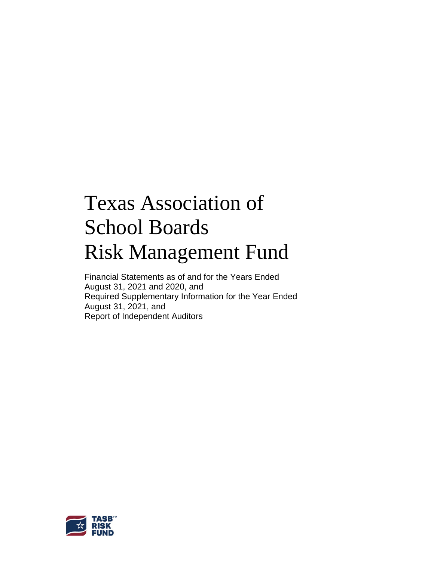# Texas Association of School Boards Risk Management Fund

Financial Statements as of and for the Years Ended August 31, 2021 and 2020, and Required Supplementary Information for the Year Ended August 31, 2021, and Report of Independent Auditors

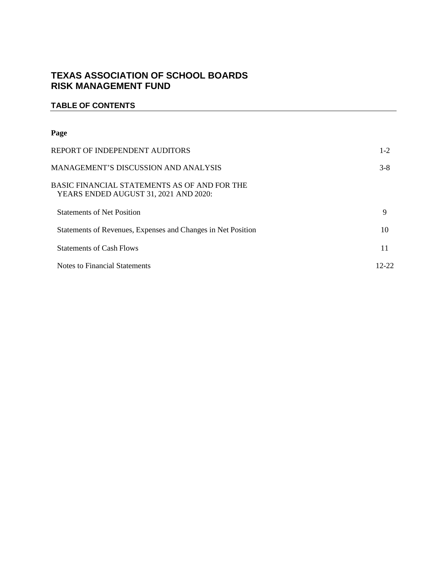# **TEXAS ASSOCIATION OF SCHOOL BOARDS RISK MANAGEMENT FUND**

# **TABLE OF CONTENTS**

| Page                                                                                  |         |
|---------------------------------------------------------------------------------------|---------|
| REPORT OF INDEPENDENT AUDITORS                                                        | $1 - 2$ |
| MANAGEMENT'S DISCUSSION AND ANALYSIS                                                  | $3 - 8$ |
| BASIC FINANCIAL STATEMENTS AS OF AND FOR THE<br>YEARS ENDED AUGUST 31, 2021 AND 2020: |         |
| <b>Statements of Net Position</b>                                                     | 9       |
| Statements of Revenues, Expenses and Changes in Net Position                          | 10      |
| <b>Statements of Cash Flows</b>                                                       | 11      |
| Notes to Financial Statements                                                         | 12-22   |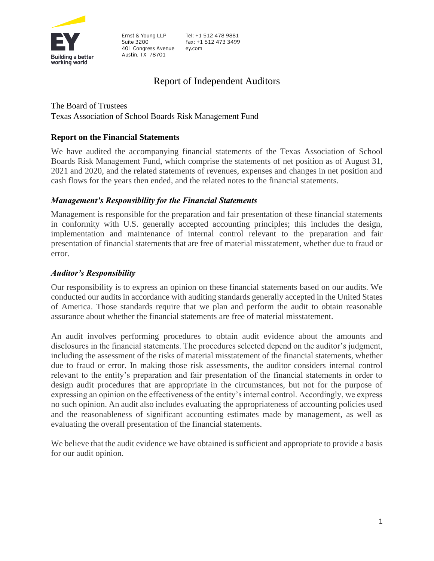

Ernst & Young LLP Suite 3200 401 Congress Avenue Austin, TX 78701

Tel: +1 512 478 9881 Fax: +1 512 473 3499 ey.com

# Report of Independent Auditors

The Board of Trustees Texas Association of School Boards Risk Management Fund

# **Report on the Financial Statements**

We have audited the accompanying financial statements of the Texas Association of School Boards Risk Management Fund, which comprise the statements of net position as of August 31, 2021 and 2020, and the related statements of revenues, expenses and changes in net position and cash flows for the years then ended, and the related notes to the financial statements.

# *Management's Responsibility for the Financial Statements*

Management is responsible for the preparation and fair presentation of these financial statements in conformity with U.S. generally accepted accounting principles; this includes the design, implementation and maintenance of internal control relevant to the preparation and fair presentation of financial statements that are free of material misstatement, whether due to fraud or error.

# *Auditor's Responsibility*

Our responsibility is to express an opinion on these financial statements based on our audits. We conducted our audits in accordance with auditing standards generally accepted in the United States of America. Those standards require that we plan and perform the audit to obtain reasonable assurance about whether the financial statements are free of material misstatement.

An audit involves performing procedures to obtain audit evidence about the amounts and disclosures in the financial statements. The procedures selected depend on the auditor's judgment, including the assessment of the risks of material misstatement of the financial statements, whether due to fraud or error. In making those risk assessments, the auditor considers internal control relevant to the entity's preparation and fair presentation of the financial statements in order to design audit procedures that are appropriate in the circumstances, but not for the purpose of expressing an opinion on the effectiveness of the entity's internal control. Accordingly, we express no such opinion. An audit also includes evaluating the appropriateness of accounting policies used and the reasonableness of significant accounting estimates made by management, as well as evaluating the overall presentation of the financial statements.

We believe that the audit evidence we have obtained is sufficient and appropriate to provide a basis for our audit opinion.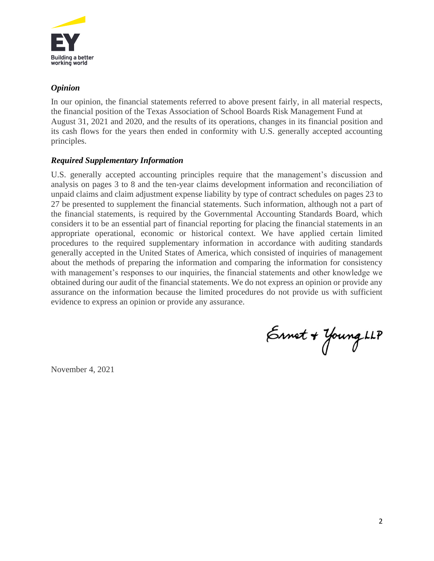

# *Opinion*

In our opinion, the financial statements referred to above present fairly, in all material respects, the financial position of the Texas Association of School Boards Risk Management Fund at August 31, 2021 and 2020, and the results of its operations, changes in its financial position and its cash flows for the years then ended in conformity with U.S. generally accepted accounting principles.

# *Required Supplementary Information*

U.S. generally accepted accounting principles require that the management's discussion and analysis on pages 3 to 8 and the ten-year claims development information and reconciliation of unpaid claims and claim adjustment expense liability by type of contract schedules on pages 23 to 27 be presented to supplement the financial statements. Such information, although not a part of the financial statements, is required by the Governmental Accounting Standards Board, which considers it to be an essential part of financial reporting for placing the financial statements in an appropriate operational, economic or historical context. We have applied certain limited procedures to the required supplementary information in accordance with auditing standards generally accepted in the United States of America, which consisted of inquiries of management about the methods of preparing the information and comparing the information for consistency with management's responses to our inquiries, the financial statements and other knowledge we obtained during our audit of the financial statements. We do not express an opinion or provide any assurance on the information because the limited procedures do not provide us with sufficient evidence to express an opinion or provide any assurance.

Ernet + Young LLP

November 4, 2021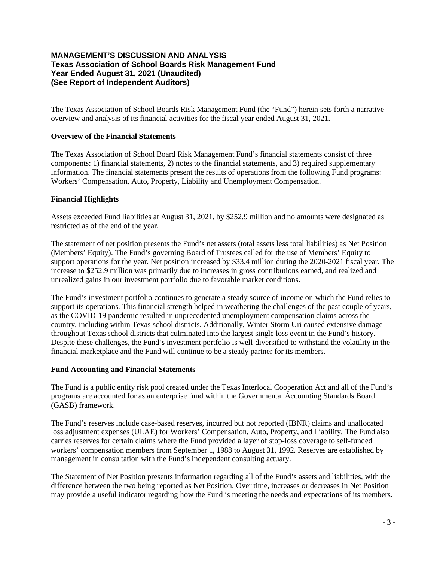## **MANAGEMENT'S DISCUSSION AND ANALYSIS Texas Association of School Boards Risk Management Fund Year Ended August 31, 2021 (Unaudited) (See Report of Independent Auditors)**

The Texas Association of School Boards Risk Management Fund (the "Fund") herein sets forth a narrative overview and analysis of its financial activities for the fiscal year ended August 31, 2021.

## **Overview of the Financial Statements**

The Texas Association of School Board Risk Management Fund's financial statements consist of three components: 1) financial statements, 2) notes to the financial statements, and 3) required supplementary information. The financial statements present the results of operations from the following Fund programs: Workers' Compensation, Auto, Property, Liability and Unemployment Compensation.

## **Financial Highlights**

Assets exceeded Fund liabilities at August 31, 2021, by \$252.9 million and no amounts were designated as restricted as of the end of the year.

The statement of net position presents the Fund's net assets (total assets less total liabilities) as Net Position (Members' Equity). The Fund's governing Board of Trustees called for the use of Members' Equity to support operations for the year. Net position increased by \$33.4 million during the 2020-2021 fiscal year. The increase to \$252.9 million was primarily due to increases in gross contributions earned, and realized and unrealized gains in our investment portfolio due to favorable market conditions.

The Fund's investment portfolio continues to generate a steady source of income on which the Fund relies to support its operations. This financial strength helped in weathering the challenges of the past couple of years, as the COVID-19 pandemic resulted in unprecedented unemployment compensation claims across the country, including within Texas school districts. Additionally, Winter Storm Uri caused extensive damage throughout Texas school districts that culminated into the largest single loss event in the Fund's history. Despite these challenges, the Fund's investment portfolio is well-diversified to withstand the volatility in the financial marketplace and the Fund will continue to be a steady partner for its members.

#### **Fund Accounting and Financial Statements**

The Fund is a public entity risk pool created under the Texas Interlocal Cooperation Act and all of the Fund's programs are accounted for as an enterprise fund within the Governmental Accounting Standards Board (GASB) framework.

The Fund's reserves include case-based reserves, incurred but not reported (IBNR) claims and unallocated loss adjustment expenses (ULAE) for Workers' Compensation, Auto, Property, and Liability. The Fund also carries reserves for certain claims where the Fund provided a layer of stop-loss coverage to self-funded workers' compensation members from September 1, 1988 to August 31, 1992. Reserves are established by management in consultation with the Fund's independent consulting actuary.

The Statement of Net Position presents information regarding all of the Fund's assets and liabilities, with the difference between the two being reported as Net Position. Over time, increases or decreases in Net Position may provide a useful indicator regarding how the Fund is meeting the needs and expectations of its members.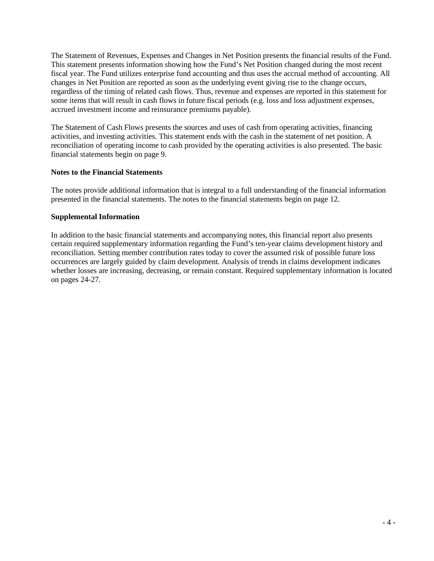The Statement of Revenues, Expenses and Changes in Net Position presents the financial results of the Fund. This statement presents information showing how the Fund's Net Position changed during the most recent fiscal year. The Fund utilizes enterprise fund accounting and thus uses the accrual method of accounting. All changes in Net Position are reported as soon as the underlying event giving rise to the change occurs, regardless of the timing of related cash flows. Thus, revenue and expenses are reported in this statement for some items that will result in cash flows in future fiscal periods (e.g. loss and loss adjustment expenses, accrued investment income and reinsurance premiums payable).

The Statement of Cash Flows presents the sources and uses of cash from operating activities, financing activities, and investing activities. This statement ends with the cash in the statement of net position. A reconciliation of operating income to cash provided by the operating activities is also presented. The basic financial statements begin on page 9.

#### **Notes to the Financial Statements**

The notes provide additional information that is integral to a full understanding of the financial information presented in the financial statements. The notes to the financial statements begin on page 12.

## **Supplemental Information**

In addition to the basic financial statements and accompanying notes, this financial report also presents certain required supplementary information regarding the Fund's ten-year claims development history and reconciliation. Setting member contribution rates today to cover the assumed risk of possible future loss occurrences are largely guided by claim development. Analysis of trends in claims development indicates whether losses are increasing, decreasing, or remain constant. Required supplementary information is located on pages 24-27.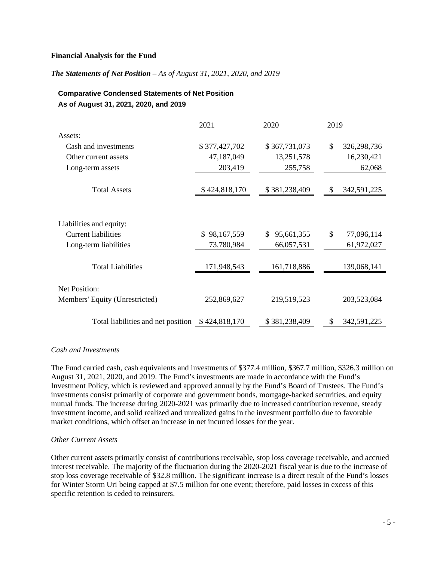#### **Financial Analysis for the Fund**

*The Statements of Net Position – As of August 31, 2021, 2020, and 2019*

# **Comparative Condensed Statements of Net Position As of August 31, 2021, 2020, and 2019**

|                                    | 2021          | 2020              | 2019                        |
|------------------------------------|---------------|-------------------|-----------------------------|
| Assets:                            |               |                   |                             |
| Cash and investments               | \$377,427,702 | \$367,731,073     | \$<br>326,298,736           |
| Other current assets               | 47,187,049    | 13,251,578        | 16,230,421                  |
| Long-term assets                   | 203,419       | 255,758           | 62,068                      |
| <b>Total Assets</b>                | \$424,818,170 | \$381,238,409     | $\mathbb{S}$<br>342,591,225 |
|                                    |               |                   |                             |
| Liabilities and equity:            |               |                   |                             |
| <b>Current liabilities</b>         | \$98,167,559  | 95,661,355<br>\$. | \$<br>77,096,114            |
| Long-term liabilities              | 73,780,984    | 66,057,531        | 61,972,027                  |
| <b>Total Liabilities</b>           | 171,948,543   | 161,718,886       | 139,068,141                 |
|                                    |               |                   |                             |
| Net Position:                      |               |                   |                             |
| Members' Equity (Unrestricted)     | 252,869,627   | 219,519,523       | 203,523,084                 |
| Total liabilities and net position | \$424,818,170 | \$381,238,409     | \$<br>342,591,225           |

#### *Cash and Investments*

The Fund carried cash, cash equivalents and investments of \$377.4 million, \$367.7 million, \$326.3 million on August 31, 2021, 2020, and 2019. The Fund's investments are made in accordance with the Fund's Investment Policy, which is reviewed and approved annually by the Fund's Board of Trustees. The Fund's investments consist primarily of corporate and government bonds, mortgage-backed securities, and equity mutual funds. The increase during 2020-2021 was primarily due to increased contribution revenue, steady investment income, and solid realized and unrealized gains in the investment portfolio due to favorable market conditions, which offset an increase in net incurred losses for the year.

#### *Other Current Assets*

Other current assets primarily consist of contributions receivable, stop loss coverage receivable, and accrued interest receivable. The majority of the fluctuation during the 2020-2021 fiscal year is due to the increase of stop loss coverage receivable of \$32.8 million. The significant increase is a direct result of the Fund's losses for Winter Storm Uri being capped at \$7.5 million for one event; therefore, paid losses in excess of this specific retention is ceded to reinsurers.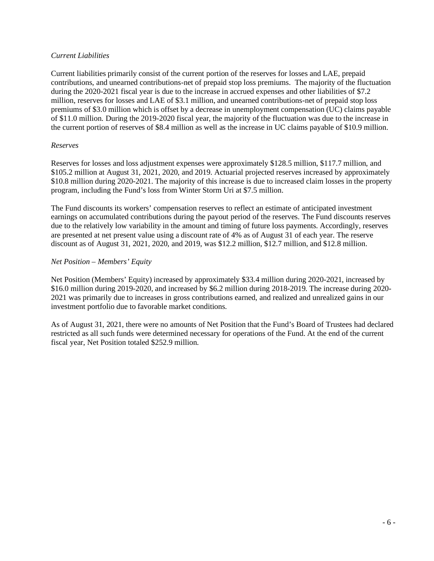## *Current Liabilities*

Current liabilities primarily consist of the current portion of the reserves for losses and LAE, prepaid contributions, and unearned contributions-net of prepaid stop loss premiums. The majority of the fluctuation during the 2020-2021 fiscal year is due to the increase in accrued expenses and other liabilities of \$7.2 million, reserves for losses and LAE of \$3.1 million, and unearned contributions-net of prepaid stop loss premiums of \$3.0 million which is offset by a decrease in unemployment compensation (UC) claims payable of \$11.0 million. During the 2019-2020 fiscal year, the majority of the fluctuation was due to the increase in the current portion of reserves of \$8.4 million as well as the increase in UC claims payable of \$10.9 million.

## *Reserves*

Reserves for losses and loss adjustment expenses were approximately \$128.5 million, \$117.7 million, and \$105.2 million at August 31, 2021, 2020, and 2019. Actuarial projected reserves increased by approximately \$10.8 million during 2020-2021. The majority of this increase is due to increased claim losses in the property program, including the Fund's loss from Winter Storm Uri at \$7.5 million.

The Fund discounts its workers' compensation reserves to reflect an estimate of anticipated investment earnings on accumulated contributions during the payout period of the reserves. The Fund discounts reserves due to the relatively low variability in the amount and timing of future loss payments. Accordingly, reserves are presented at net present value using a discount rate of 4% as of August 31 of each year. The reserve discount as of August 31, 2021, 2020, and 2019, was \$12.2 million, \$12.7 million, and \$12.8 million.

# *Net Position – Members' Equity*

Net Position (Members' Equity) increased by approximately \$33.4 million during 2020-2021, increased by \$16.0 million during 2019-2020, and increased by \$6.2 million during 2018-2019. The increase during 2020- 2021 was primarily due to increases in gross contributions earned, and realized and unrealized gains in our investment portfolio due to favorable market conditions.

As of August 31, 2021, there were no amounts of Net Position that the Fund's Board of Trustees had declared restricted as all such funds were determined necessary for operations of the Fund. At the end of the current fiscal year, Net Position totaled \$252.9 million.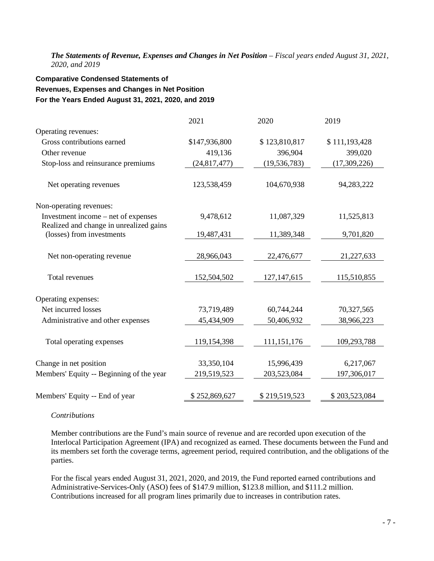#### *The Statements of Revenue, Expenses and Changes in Net Position – Fiscal years ended August 31, 2021, 2020, and 2019*

# **Comparative Condensed Statements of Revenues, Expenses and Changes in Net Position For the Years Ended August 31, 2021, 2020, and 2019**

|                                                                      | 2021           | 2020           | 2019          |
|----------------------------------------------------------------------|----------------|----------------|---------------|
| Operating revenues:                                                  |                |                |               |
| Gross contributions earned                                           | \$147,936,800  | \$123,810,817  | \$111,193,428 |
| Other revenue                                                        | 419,136        | 396,904        | 399,020       |
| Stop-loss and reinsurance premiums                                   | (24, 817, 477) | (19, 536, 783) | (17,309,226)  |
| Net operating revenues                                               | 123,538,459    | 104,670,938    | 94,283,222    |
| Non-operating revenues:                                              |                |                |               |
| Investment income – net of expenses                                  | 9,478,612      | 11,087,329     | 11,525,813    |
| Realized and change in unrealized gains<br>(losses) from investments | 19,487,431     | 11,389,348     | 9,701,820     |
| Net non-operating revenue                                            | 28,966,043     | 22,476,677     | 21,227,633    |
| <b>Total revenues</b>                                                | 152,504,502    | 127, 147, 615  | 115,510,855   |
| Operating expenses:                                                  |                |                |               |
| Net incurred losses                                                  | 73,719,489     | 60,744,244     | 70,327,565    |
| Administrative and other expenses                                    | 45,434,909     | 50,406,932     | 38,966,223    |
| Total operating expenses                                             | 119,154,398    | 111,151,176    | 109,293,788   |
| Change in net position                                               | 33,350,104     | 15,996,439     | 6,217,067     |
| Members' Equity -- Beginning of the year                             | 219,519,523    | 203,523,084    | 197,306,017   |
|                                                                      |                |                |               |
| Members' Equity -- End of year                                       | \$252,869,627  | \$219,519,523  | \$203,523,084 |

#### *Contributions*

Member contributions are the Fund's main source of revenue and are recorded upon execution of the Interlocal Participation Agreement (IPA) and recognized as earned. These documents between the Fund and its members set forth the coverage terms, agreement period, required contribution, and the obligations of the parties.

For the fiscal years ended August 31, 2021, 2020, and 2019, the Fund reported earned contributions and Administrative-Services-Only (ASO) fees of \$147.9 million, \$123.8 million, and \$111.2 million. Contributions increased for all program lines primarily due to increases in contribution rates.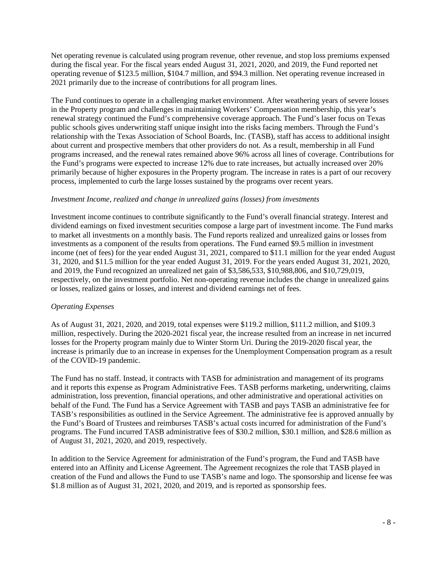Net operating revenue is calculated using program revenue, other revenue, and stop loss premiums expensed during the fiscal year. For the fiscal years ended August 31, 2021, 2020, and 2019, the Fund reported net operating revenue of \$123.5 million, \$104.7 million, and \$94.3 million. Net operating revenue increased in 2021 primarily due to the increase of contributions for all program lines.

The Fund continues to operate in a challenging market environment. After weathering years of severe losses in the Property program and challenges in maintaining Workers' Compensation membership, this year's renewal strategy continued the Fund's comprehensive coverage approach. The Fund's laser focus on Texas public schools gives underwriting staff unique insight into the risks facing members. Through the Fund's relationship with the Texas Association of School Boards, Inc. (TASB), staff has access to additional insight about current and prospective members that other providers do not. As a result, membership in all Fund programs increased, and the renewal rates remained above 96% across all lines of coverage. Contributions for the Fund's programs were expected to increase 12% due to rate increases, but actually increased over 20% primarily because of higher exposures in the Property program. The increase in rates is a part of our recovery process, implemented to curb the large losses sustained by the programs over recent years.

#### *Investment Income, realized and change in unrealized gains (losses) from investments*

Investment income continues to contribute significantly to the Fund's overall financial strategy. Interest and dividend earnings on fixed investment securities compose a large part of investment income. The Fund marks to market all investments on a monthly basis. The Fund reports realized and unrealized gains or losses from investments as a component of the results from operations. The Fund earned \$9.5 million in investment income (net of fees) for the year ended August 31, 2021, compared to \$11.1 million for the year ended August 31, 2020, and \$11.5 million for the year ended August 31, 2019. For the years ended August 31, 2021, 2020, and 2019, the Fund recognized an unrealized net gain of \$3,586,533, \$10,988,806, and \$10,729,019, respectively, on the investment portfolio. Net non-operating revenue includes the change in unrealized gains or losses, realized gains or losses, and interest and dividend earnings net of fees.

#### *Operating Expenses*

As of August 31, 2021, 2020, and 2019, total expenses were \$119.2 million, \$111.2 million, and \$109.3 million, respectively. During the 2020-2021 fiscal year, the increase resulted from an increase in net incurred losses for the Property program mainly due to Winter Storm Uri. During the 2019-2020 fiscal year, the increase is primarily due to an increase in expenses for the Unemployment Compensation program as a result of the COVID-19 pandemic.

The Fund has no staff. Instead, it contracts with TASB for administration and management of its programs and it reports this expense as Program Administrative Fees. TASB performs marketing, underwriting, claims administration, loss prevention, financial operations, and other administrative and operational activities on behalf of the Fund. The Fund has a Service Agreement with TASB and pays TASB an administrative fee for TASB's responsibilities as outlined in the Service Agreement. The administrative fee is approved annually by the Fund's Board of Trustees and reimburses TASB's actual costs incurred for administration of the Fund's programs. The Fund incurred TASB administrative fees of \$30.2 million, \$30.1 million, and \$28.6 million as of August 31, 2021, 2020, and 2019, respectively.

In addition to the Service Agreement for administration of the Fund's program, the Fund and TASB have entered into an Affinity and License Agreement. The Agreement recognizes the role that TASB played in creation of the Fund and allows the Fund to use TASB's name and logo. The sponsorship and license fee was \$1.8 million as of August 31, 2021, 2020, and 2019, and is reported as sponsorship fees.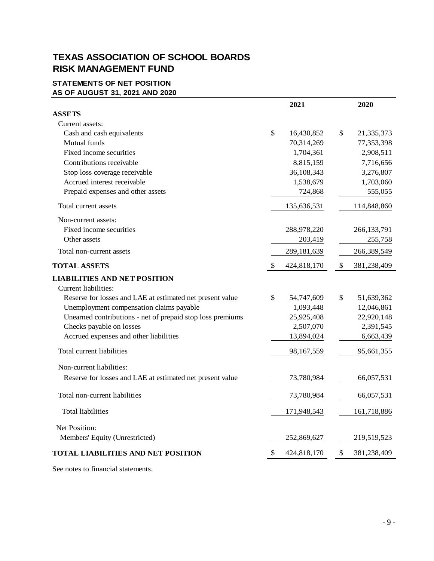# **TEXAS ASSOCIATION OF SCHOOL BOARDS RISK MANAGEMENT FUND**

# **STATEMENTS OF NET POSITION AS OF AUGUST 31, 2021 AND 2020**

|                                                            |                           | 2021        |                           | 2020          |
|------------------------------------------------------------|---------------------------|-------------|---------------------------|---------------|
| <b>ASSETS</b>                                              |                           |             |                           |               |
| Current assets:                                            |                           |             |                           |               |
| Cash and cash equivalents                                  | \$                        | 16,430,852  | \$                        | 21,335,373    |
| Mutual funds                                               |                           | 70,314,269  |                           | 77,353,398    |
| Fixed income securities                                    |                           | 1,704,361   |                           | 2,908,511     |
| Contributions receivable                                   |                           | 8,815,159   |                           | 7,716,656     |
| Stop loss coverage receivable                              |                           | 36,108,343  |                           | 3,276,807     |
| Accrued interest receivable                                |                           | 1,538,679   |                           | 1,703,060     |
| Prepaid expenses and other assets                          |                           | 724,868     |                           | 555,055       |
| Total current assets                                       |                           | 135,636,531 |                           | 114,848,860   |
| Non-current assets:                                        |                           |             |                           |               |
| Fixed income securities                                    |                           | 288,978,220 |                           | 266, 133, 791 |
| Other assets                                               |                           | 203,419     |                           | 255,758       |
| Total non-current assets                                   |                           | 289,181,639 |                           | 266,389,549   |
| <b>TOTAL ASSETS</b>                                        | $\mathcal{S}$             | 424,818,170 | $\boldsymbol{\mathsf{S}}$ | 381,238,409   |
| <b>LIABILITIES AND NET POSITION</b>                        |                           |             |                           |               |
| Current liabilities:                                       |                           |             |                           |               |
| Reserve for losses and LAE at estimated net present value  | \$                        | 54,747,609  | \$                        | 51,639,362    |
| Unemployment compensation claims payable                   |                           | 1,093,448   |                           | 12,046,861    |
| Unearned contributions - net of prepaid stop loss premiums |                           | 25,925,408  |                           | 22,920,148    |
| Checks payable on losses                                   |                           | 2,507,070   |                           | 2,391,545     |
| Accrued expenses and other liabilities                     |                           | 13,894,024  |                           | 6,663,439     |
| Total current liabilities                                  |                           | 98,167,559  |                           | 95,661,355    |
| Non-current liabilities:                                   |                           |             |                           |               |
| Reserve for losses and LAE at estimated net present value  |                           | 73,780,984  |                           | 66,057,531    |
| Total non-current liabilities                              |                           | 73,780,984  |                           | 66,057,531    |
| <b>Total liabilities</b>                                   |                           | 171,948,543 |                           | 161,718,886   |
| Net Position:                                              |                           |             |                           |               |
| Members' Equity (Unrestricted)                             |                           | 252,869,627 |                           | 219,519,523   |
| <b>TOTAL LIABILITIES AND NET POSITION</b>                  | $\boldsymbol{\mathsf{S}}$ | 424,818,170 | \$                        | 381,238,409   |

See notes to financial statements.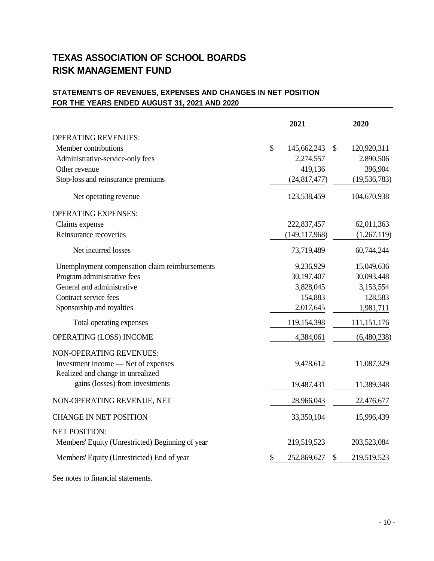# **TEXAS ASSOCIATION OF SCHOOL BOARDS RISK MANAGEMENT FUND**

# **STATEMENTS OF REVENUES, EXPENSES AND CHANGES IN NET POSITION FOR THE YEARS ENDED AUGUST 31, 2021 AND 2020**

|                                                                          | 2021              | 2020              |
|--------------------------------------------------------------------------|-------------------|-------------------|
| <b>OPERATING REVENUES:</b>                                               |                   |                   |
| Member contributions                                                     | \$<br>145,662,243 | \$<br>120,920,311 |
| Administrative-service-only fees                                         | 2,274,557         | 2,890,506         |
| Other revenue                                                            | 419,136           | 396,904           |
| Stop-loss and reinsurance premiums                                       | (24, 817, 477)    | (19, 536, 783)    |
| Net operating revenue                                                    | 123,538,459       | 104,670,938       |
| <b>OPERATING EXPENSES:</b>                                               |                   |                   |
| Claims expense                                                           | 222,837,457       | 62,011,363        |
| Reinsurance recoveries                                                   | (149, 117, 968)   | (1,267,119)       |
| Net incurred losses                                                      | 73,719,489        | 60,744,244        |
| Unemployment compensation claim reimbursements                           | 9,236,929         | 15,049,636        |
| Program administrative fees                                              | 30,197,407        | 30,093,448        |
| General and administrative                                               | 3,828,045         | 3,153,554         |
| Contract service fees                                                    | 154,883           | 128,583           |
| Sponsorship and royalties                                                | 2,017,645         | 1,981,711         |
| Total operating expenses                                                 | 119,154,398       | 111, 151, 176     |
| OPERATING (LOSS) INCOME                                                  | 4,384,061         | (6,480,238)       |
| NON-OPERATING REVENUES:                                                  |                   |                   |
| Investment income — Net of expenses<br>Realized and change in unrealized | 9,478,612         | 11,087,329        |
| gains (losses) from investments                                          | 19,487,431        | 11,389,348        |
| NON-OPERATING REVENUE, NET                                               | 28,966,043        | 22,476,677        |
| <b>CHANGE IN NET POSITION</b>                                            | 33,350,104        | 15,996,439        |
| <b>NET POSITION:</b>                                                     |                   |                   |
| Members' Equity (Unrestricted) Beginning of year                         | 219,519,523       | 203,523,084       |
| Members' Equity (Unrestricted) End of year                               | \$<br>252,869,627 | \$<br>219,519,523 |

See notes to financial statements.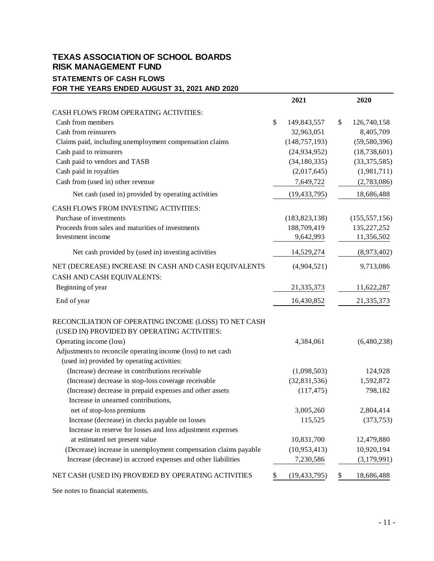# **TEXAS ASSOCIATION OF SCHOOL BOARDS RISK MANAGEMENT FUND STATEMENTS OF CASH FLOWS FOR THE YEARS ENDED AUGUST 31, 2021 AND 2020**

|                                                                 |              | 2021            | 2020              |
|-----------------------------------------------------------------|--------------|-----------------|-------------------|
| CASH FLOWS FROM OPERATING ACTIVITIES:                           |              |                 |                   |
| Cash from members                                               | $\mathbb{S}$ | 149,843,557     | \$<br>126,740,158 |
| Cash from reinsurers                                            |              | 32,963,051      | 8,405,709         |
| Claims paid, including unemployment compensation claims         |              | (148, 757, 193) | (59, 580, 396)    |
| Cash paid to reinsurers                                         |              | (24, 934, 952)  | (18, 738, 601)    |
| Cash paid to vendors and TASB                                   |              | (34, 180, 335)  | (33,375,585)      |
| Cash paid in royalties                                          |              | (2,017,645)     | (1,981,711)       |
| Cash from (used in) other revenue                               |              | 7,649,722       | (2,783,086)       |
| Net cash (used in) provided by operating activities             |              | (19, 433, 795)  | 18,686,488        |
| CASH FLOWS FROM INVESTING ACTIVITIES:                           |              |                 |                   |
| Purchase of investments                                         |              | (183, 823, 138) | (155, 557, 156)   |
| Proceeds from sales and maturities of investments               |              | 188,709,419     | 135,227,252       |
| Investment income                                               |              | 9,642,993       | 11,356,502        |
| Net cash provided by (used in) investing activities             |              | 14,529,274      | (8,973,402)       |
| NET (DECREASE) INCREASE IN CASH AND CASH EQUIVALENTS            |              | (4,904,521)     | 9,713,086         |
| CASH AND CASH EQUIVALENTS:                                      |              |                 |                   |
| Beginning of year                                               |              | 21,335,373      | 11,622,287        |
| End of year                                                     |              | 16,430,852      | 21,335,373        |
| RECONCILIATION OF OPERATING INCOME (LOSS) TO NET CASH           |              |                 |                   |
| (USED IN) PROVIDED BY OPERATING ACTIVITIES:                     |              |                 |                   |
| Operating income (loss)                                         |              | 4,384,061       | (6,480,238)       |
| Adjustments to reconcile operating income (loss) to net cash    |              |                 |                   |
| (used in) provided by operating activities:                     |              |                 |                   |
| (Increase) decrease in contributions receivable                 |              | (1,098,503)     | 124,928           |
| (Increase) decrease in stop-loss coverage receivable            |              | (32, 831, 536)  | 1,592,872         |
| (Increase) decrease in prepaid expenses and other assets        |              | (117, 475)      | 798,182           |
| Increase in unearned contributions,                             |              |                 |                   |
| net of stop-loss premiums                                       |              | 3,005,260       | 2,804,414         |
| Increase (decrease) in checks payable on losses                 |              | 115,525         | (373, 753)        |
| Increase in reserve for losses and loss adjustment expenses     |              |                 |                   |
| at estimated net present value                                  |              | 10,831,700      | 12,479,880        |
| (Decrease) increase in unemployment compensation claims payable |              | (10,953,413)    | 10,920,194        |
| Increase (decrease) in accrued expenses and other liabilities   |              | 7,230,586       | (3,179,991)       |
| NET CASH (USED IN) PROVIDED BY OPERATING ACTIVITIES             | \$           | (19, 433, 795)  | \$<br>18,686,488  |
|                                                                 |              |                 |                   |

See notes to financial statements.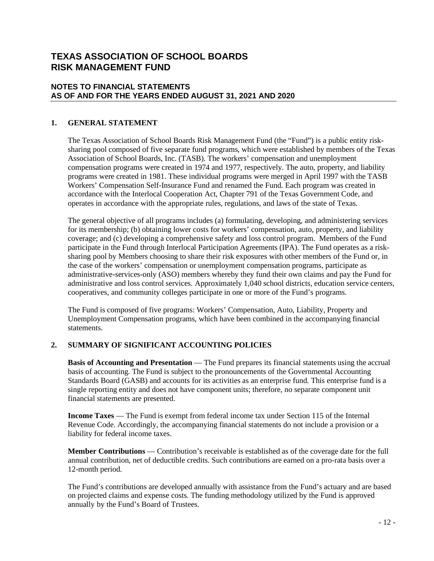# **TEXAS ASSOCIATION OF SCHOOL BOARDS RISK MANAGEMENT FUND**

## **NOTES TO FINANCIAL STATEMENTS AS OF AND FOR THE YEARS ENDED AUGUST 31, 2021 AND 2020**

# **1. GENERAL STATEMENT**

The Texas Association of School Boards Risk Management Fund (the "Fund") is a public entity risksharing pool composed of five separate fund programs, which were established by members of the Texas Association of School Boards, Inc. (TASB). The workers' compensation and unemployment compensation programs were created in 1974 and 1977, respectively. The auto, property, and liability programs were created in 1981. These individual programs were merged in April 1997 with the TASB Workers' Compensation Self-Insurance Fund and renamed the Fund. Each program was created in accordance with the Interlocal Cooperation Act, Chapter 791 of the Texas Government Code, and operates in accordance with the appropriate rules, regulations, and laws of the state of Texas.

The general objective of all programs includes (a) formulating, developing, and administering services for its membership; (b) obtaining lower costs for workers' compensation, auto, property, and liability coverage; and (c) developing a comprehensive safety and loss control program. Members of the Fund participate in the Fund through Interlocal Participation Agreements (IPA). The Fund operates as a risksharing pool by Members choosing to share their risk exposures with other members of the Fund or, in the case of the workers' compensation or unemployment compensation programs, participate as administrative-services-only (ASO) members whereby they fund their own claims and pay the Fund for administrative and loss control services. Approximately 1,040 school districts, education service centers, cooperatives, and community colleges participate in one or more of the Fund's programs.

The Fund is composed of five programs: Workers' Compensation, Auto, Liability, Property and Unemployment Compensation programs, which have been combined in the accompanying financial statements.

# **2. SUMMARY OF SIGNIFICANT ACCOUNTING POLICIES**

**Basis of Accounting and Presentation** — The Fund prepares its financial statements using the accrual basis of accounting. The Fund is subject to the pronouncements of the Governmental Accounting Standards Board (GASB) and accounts for its activities as an enterprise fund. This enterprise fund is a single reporting entity and does not have component units; therefore, no separate component unit financial statements are presented.

**Income Taxes** — The Fund is exempt from federal income tax under Section 115 of the Internal Revenue Code. Accordingly, the accompanying financial statements do not include a provision or a liability for federal income taxes.

**Member Contributions** — Contribution's receivable is established as of the coverage date for the full annual contribution, net of deductible credits. Such contributions are earned on a pro-rata basis over a 12-month period.

The Fund's contributions are developed annually with assistance from the Fund's actuary and are based on projected claims and expense costs. The funding methodology utilized by the Fund is approved annually by the Fund's Board of Trustees.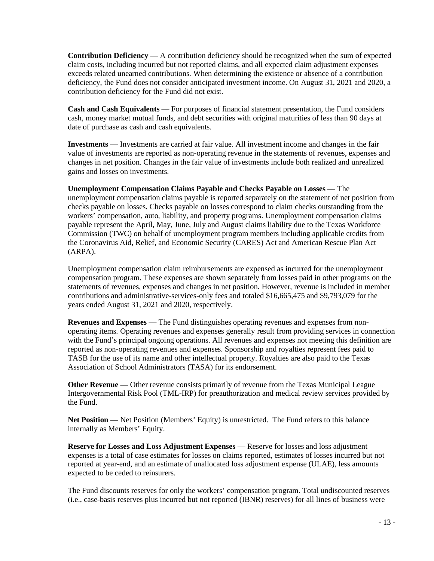**Contribution Deficiency** — A contribution deficiency should be recognized when the sum of expected claim costs, including incurred but not reported claims, and all expected claim adjustment expenses exceeds related unearned contributions. When determining the existence or absence of a contribution deficiency, the Fund does not consider anticipated investment income. On August 31, 2021 and 2020, a contribution deficiency for the Fund did not exist.

**Cash and Cash Equivalents** — For purposes of financial statement presentation, the Fund considers cash, money market mutual funds, and debt securities with original maturities of less than 90 days at date of purchase as cash and cash equivalents.

**Investments** — Investments are carried at fair value. All investment income and changes in the fair value of investments are reported as non-operating revenue in the statements of revenues, expenses and changes in net position. Changes in the fair value of investments include both realized and unrealized gains and losses on investments.

**Unemployment Compensation Claims Payable and Checks Payable on Losses** — The unemployment compensation claims payable is reported separately on the statement of net position from checks payable on losses. Checks payable on losses correspond to claim checks outstanding from the workers' compensation, auto, liability, and property programs. Unemployment compensation claims payable represent the April, May, June, July and August claims liability due to the Texas Workforce Commission (TWC) on behalf of unemployment program members including applicable credits from the Coronavirus Aid, Relief, and Economic Security (CARES) Act and American Rescue Plan Act (ARPA).

Unemployment compensation claim reimbursements are expensed as incurred for the unemployment compensation program. These expenses are shown separately from losses paid in other programs on the statements of revenues, expenses and changes in net position. However, revenue is included in member contributions and administrative-services-only fees and totaled \$16,665,475 and \$9,793,079 for the years ended August 31, 2021 and 2020, respectively.

**Revenues and Expenses** — The Fund distinguishes operating revenues and expenses from nonoperating items. Operating revenues and expenses generally result from providing services in connection with the Fund's principal ongoing operations. All revenues and expenses not meeting this definition are reported as non-operating revenues and expenses. Sponsorship and royalties represent fees paid to TASB for the use of its name and other intellectual property. Royalties are also paid to the Texas Association of School Administrators (TASA) for its endorsement.

**Other Revenue** — Other revenue consists primarily of revenue from the Texas Municipal League Intergovernmental Risk Pool (TML-IRP) for preauthorization and medical review services provided by the Fund.

**Net Position** — Net Position (Members' Equity) is unrestricted. The Fund refers to this balance internally as Members' Equity.

**Reserve for Losses and Loss Adjustment Expenses** — Reserve for losses and loss adjustment expenses is a total of case estimates for losses on claims reported, estimates of losses incurred but not reported at year-end, and an estimate of unallocated loss adjustment expense (ULAE), less amounts expected to be ceded to reinsurers.

The Fund discounts reserves for only the workers' compensation program. Total undiscounted reserves (i.e., case-basis reserves plus incurred but not reported (IBNR) reserves) for all lines of business were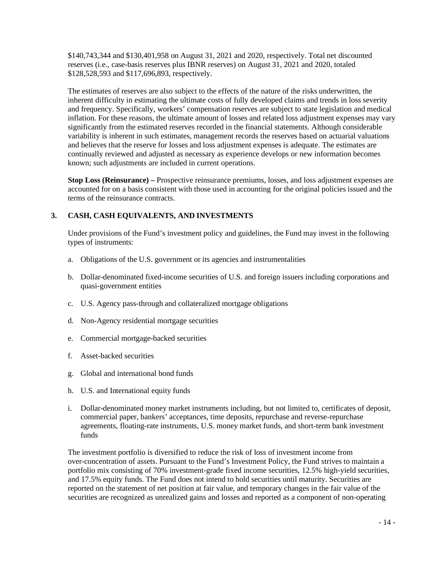\$140,743,344 and \$130,401,958 on August 31, 2021 and 2020, respectively. Total net discounted reserves (i.e., case-basis reserves plus IBNR reserves) on August 31, 2021 and 2020, totaled \$128,528,593 and \$117,696,893, respectively.

The estimates of reserves are also subject to the effects of the nature of the risks underwritten, the inherent difficulty in estimating the ultimate costs of fully developed claims and trends in loss severity and frequency. Specifically, workers' compensation reserves are subject to state legislation and medical inflation. For these reasons, the ultimate amount of losses and related loss adjustment expenses may vary significantly from the estimated reserves recorded in the financial statements. Although considerable variability is inherent in such estimates, management records the reserves based on actuarial valuations and believes that the reserve for losses and loss adjustment expenses is adequate. The estimates are continually reviewed and adjusted as necessary as experience develops or new information becomes known; such adjustments are included in current operations.

**Stop Loss (Reinsurance)** – Prospective reinsurance premiums, losses, and loss adjustment expenses are accounted for on a basis consistent with those used in accounting for the original policies issued and the terms of the reinsurance contracts.

# **3. CASH, CASH EQUIVALENTS, AND INVESTMENTS**

Under provisions of the Fund's investment policy and guidelines, the Fund may invest in the following types of instruments:

- a. Obligations of the U.S. government or its agencies and instrumentalities
- b. Dollar-denominated fixed-income securities of U.S. and foreign issuers including corporations and quasi-government entities
- c. U.S. Agency pass-through and collateralized mortgage obligations
- d. Non-Agency residential mortgage securities
- e. Commercial mortgage-backed securities
- f. Asset-backed securities
- g. Global and international bond funds
- h. U.S. and International equity funds
- i. Dollar-denominated money market instruments including, but not limited to, certificates of deposit, commercial paper, bankers' acceptances, time deposits, repurchase and reverse-repurchase agreements, floating-rate instruments, U.S. money market funds, and short-term bank investment funds

The investment portfolio is diversified to reduce the risk of loss of investment income from over-concentration of assets. Pursuant to the Fund's Investment Policy, the Fund strives to maintain a portfolio mix consisting of 70% investment-grade fixed income securities, 12.5% high-yield securities, and 17.5% equity funds. The Fund does not intend to hold securities until maturity. Securities are reported on the statement of net position at fair value, and temporary changes in the fair value of the securities are recognized as unrealized gains and losses and reported as a component of non-operating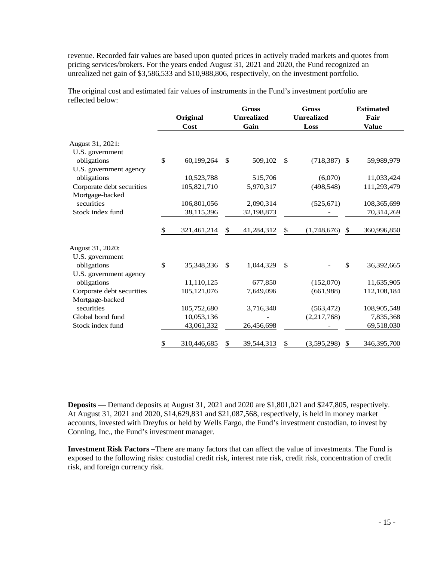revenue. Recorded fair values are based upon quoted prices in actively traded markets and quotes from pricing services/brokers. For the years ended August 31, 2021 and 2020, the Fund recognized an unrealized net gain of \$3,586,533 and \$10,988,806, respectively, on the investment portfolio.

The original cost and estimated fair values of instruments in the Fund's investment portfolio are reflected below:

|                           |                   |              | <b>Gross</b>      |                   | <b>Gross</b>    | <b>Estimated</b>    |
|---------------------------|-------------------|--------------|-------------------|-------------------|-----------------|---------------------|
|                           | Original          |              | <b>Unrealized</b> | <b>Unrealized</b> |                 | Fair                |
|                           | Cost              |              | Gain              |                   | Loss            | <b>Value</b>        |
| August 31, 2021:          |                   |              |                   |                   |                 |                     |
| U.S. government           |                   |              |                   |                   |                 |                     |
| obligations               | \$<br>60,199,264  | $\mathbb{S}$ | 509,102           | $\mathbb{S}$      | $(718, 387)$ \$ | 59,989,979          |
| U.S. government agency    |                   |              |                   |                   |                 |                     |
| obligations               | 10,523,788        |              | 515,706           |                   | (6,070)         | 11,033,424          |
| Corporate debt securities | 105,821,710       |              | 5,970,317         |                   | (498, 548)      | 111,293,479         |
| Mortgage-backed           |                   |              |                   |                   |                 |                     |
| securities                | 106,801,056       |              | 2,090,314         |                   | (525, 671)      | 108,365,699         |
| Stock index fund          | 38,115,396        |              | 32,198,873        |                   |                 | 70,314,269          |
|                           |                   |              |                   |                   |                 |                     |
|                           | \$<br>321,461,214 | \$           | 41,284,312        | \$                | (1,748,676)     | \$<br>360,996,850   |
| August 31, 2020:          |                   |              |                   |                   |                 |                     |
| U.S. government           |                   |              |                   |                   |                 |                     |
| obligations               | \$<br>35,348,336  | \$           | 1,044,329         | \$                |                 | \$<br>36,392,665    |
| U.S. government agency    |                   |              |                   |                   |                 |                     |
| obligations               | 11,110,125        |              | 677,850           |                   | (152,070)       | 11,635,905          |
| Corporate debt securities | 105, 121, 076     |              | 7,649,096         |                   | (661,988)       | 112,108,184         |
| Mortgage-backed           |                   |              |                   |                   |                 |                     |
| securities                | 105,752,680       |              | 3,716,340         |                   | (563, 472)      | 108,905,548         |
| Global bond fund          | 10,053,136        |              |                   |                   | (2,217,768)     | 7,835,368           |
| Stock index fund          | 43,061,332        |              | 26,456,698        |                   |                 | 69,518,030          |
|                           | \$<br>310,446,685 | \$           | 39,544,313        | \$                | (3,595,298)     | \$<br>346, 395, 700 |

**Deposits** — Demand deposits at August 31, 2021 and 2020 are \$1,801,021 and \$247,805, respectively. At August 31, 2021 and 2020, \$14,629,831 and \$21,087,568, respectively, is held in money market accounts, invested with Dreyfus or held by Wells Fargo, the Fund's investment custodian, to invest by Conning, Inc., the Fund's investment manager.

**Investment Risk Factors –**There are many factors that can affect the value of investments. The Fund is exposed to the following risks: custodial credit risk, interest rate risk, credit risk, concentration of credit risk, and foreign currency risk.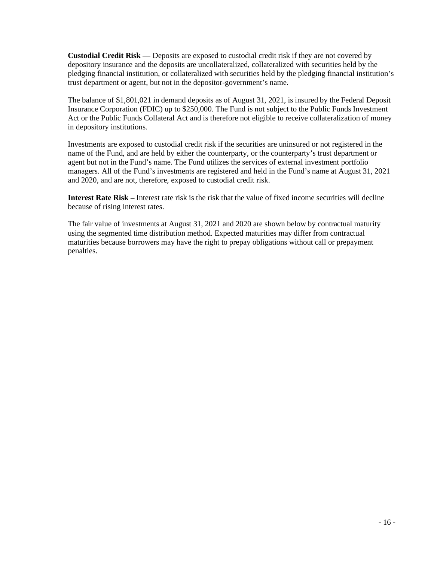**Custodial Credit Risk** — Deposits are exposed to custodial credit risk if they are not covered by depository insurance and the deposits are uncollateralized, collateralized with securities held by the pledging financial institution, or collateralized with securities held by the pledging financial institution's trust department or agent, but not in the depositor-government's name.

The balance of \$1,801,021 in demand deposits as of August 31, 2021, is insured by the Federal Deposit Insurance Corporation (FDIC) up to \$250,000. The Fund is not subject to the Public Funds Investment Act or the Public Funds Collateral Act and is therefore not eligible to receive collateralization of money in depository institutions.

Investments are exposed to custodial credit risk if the securities are uninsured or not registered in the name of the Fund, and are held by either the counterparty, or the counterparty's trust department or agent but not in the Fund's name. The Fund utilizes the services of external investment portfolio managers. All of the Fund's investments are registered and held in the Fund's name at August 31, 2021 and 2020, and are not, therefore, exposed to custodial credit risk.

**Interest Rate Risk –** Interest rate risk is the risk that the value of fixed income securities will decline because of rising interest rates.

The fair value of investments at August 31, 2021 and 2020 are shown below by contractual maturity using the segmented time distribution method. Expected maturities may differ from contractual maturities because borrowers may have the right to prepay obligations without call or prepayment penalties.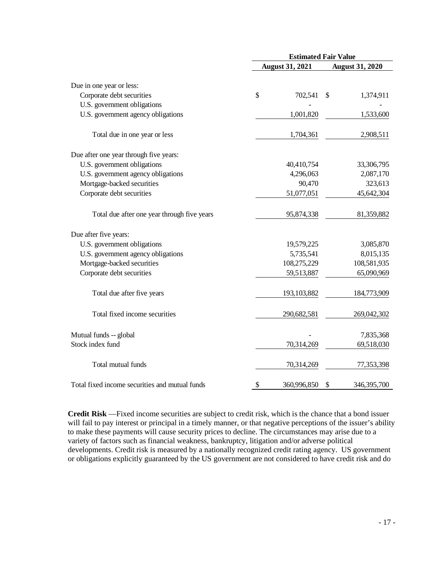|                                                | <b>Estimated Fair Value</b> |                        |    |                        |  |  |
|------------------------------------------------|-----------------------------|------------------------|----|------------------------|--|--|
|                                                |                             | <b>August 31, 2021</b> |    | <b>August 31, 2020</b> |  |  |
| Due in one year or less:                       |                             |                        |    |                        |  |  |
| Corporate debt securities                      | \$                          | 702,541                | \$ | 1,374,911              |  |  |
| U.S. government obligations                    |                             |                        |    |                        |  |  |
| U.S. government agency obligations             |                             | 1,001,820              |    | 1,533,600              |  |  |
| Total due in one year or less                  |                             | 1,704,361              |    | 2,908,511              |  |  |
| Due after one year through five years:         |                             |                        |    |                        |  |  |
| U.S. government obligations                    |                             | 40,410,754             |    | 33,306,795             |  |  |
| U.S. government agency obligations             |                             | 4,296,063              |    | 2,087,170              |  |  |
| Mortgage-backed securities                     |                             | 90,470                 |    | 323,613                |  |  |
| Corporate debt securities                      |                             | 51,077,051             |    | 45,642,304             |  |  |
| Total due after one year through five years    |                             | 95,874,338             |    | 81,359,882             |  |  |
| Due after five years:                          |                             |                        |    |                        |  |  |
| U.S. government obligations                    |                             | 19,579,225             |    | 3,085,870              |  |  |
| U.S. government agency obligations             |                             | 5,735,541              |    | 8,015,135              |  |  |
| Mortgage-backed securities                     |                             | 108,275,229            |    | 108,581,935            |  |  |
| Corporate debt securities                      |                             | 59,513,887             |    | 65,090,969             |  |  |
| Total due after five years                     |                             | 193,103,882            |    | 184,773,909            |  |  |
| Total fixed income securities                  |                             | 290,682,581            |    | 269,042,302            |  |  |
| Mutual funds -- global                         |                             |                        |    | 7,835,368              |  |  |
| Stock index fund                               |                             | 70,314,269             |    | 69,518,030             |  |  |
| Total mutual funds                             |                             | 70,314,269             |    | 77,353,398             |  |  |
| Total fixed income securities and mutual funds | \$                          | 360,996,850            | \$ | 346,395,700            |  |  |

**Credit Risk** —Fixed income securities are subject to credit risk, which is the chance that a bond issuer will fail to pay interest or principal in a timely manner, or that negative perceptions of the issuer's ability to make these payments will cause security prices to decline. The circumstances may arise due to a variety of factors such as financial weakness, bankruptcy, litigation and/or adverse political developments. Credit risk is measured by a nationally recognized credit rating agency. US government or obligations explicitly guaranteed by the US government are not considered to have credit risk and do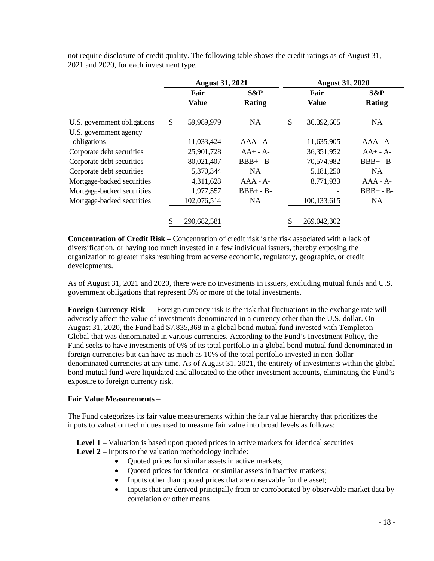|                             | <b>August 31, 2021</b> |               | <b>August 31, 2020</b> |               |
|-----------------------------|------------------------|---------------|------------------------|---------------|
|                             | Fair                   | S&P           | Fair                   | S&P           |
|                             | <b>Value</b>           | <b>Rating</b> | <b>Value</b>           | Rating        |
| U.S. government obligations | \$<br>59,989,979       | <b>NA</b>     | \$<br>36,392,665       | <b>NA</b>     |
| U.S. government agency      |                        |               |                        |               |
| obligations                 | 11,033,424             | $AAA - A$     | 11,635,905             | $AAA - A-$    |
| Corporate debt securities   | 25,901,728             | $AA + - A$    | 36, 351, 952           | $AA + - A -$  |
| Corporate debt securities   | 80,021,407             | $BBB + - B -$ | 70,574,982             | $BBB + - B -$ |
| Corporate debt securities   | 5,370,344              | <b>NA</b>     | 5,181,250              | <b>NA</b>     |
| Mortgage-backed securities  | 4,311,628              | $AAA - A-$    | 8,771,933              | $AAA - A-$    |
| Mortgage-backed securities  | 1,977,557              | $BBB + - B -$ |                        | $BBB + - B -$ |
| Mortgage-backed securities  | 102,076,514            | <b>NA</b>     | 100,133,615            | <b>NA</b>     |
|                             | \$<br>290,682,581      |               | \$<br>269,042,302      |               |

not require disclosure of credit quality. The following table shows the credit ratings as of August 31, 2021 and 2020, for each investment type.

**Concentration of Credit Risk –** Concentration of credit risk is the risk associated with a lack of diversification, or having too much invested in a few individual issuers, thereby exposing the organization to greater risks resulting from adverse economic, regulatory, geographic, or credit developments.

As of August 31, 2021 and 2020, there were no investments in issuers, excluding mutual funds and U.S. government obligations that represent 5% or more of the total investments.

**Foreign Currency Risk** — Foreign currency risk is the risk that fluctuations in the exchange rate will adversely affect the value of investments denominated in a currency other than the U.S. dollar. On August 31, 2020, the Fund had \$7,835,368 in a global bond mutual fund invested with Templeton Global that was denominated in various currencies. According to the Fund's Investment Policy, the Fund seeks to have investments of 0% of its total portfolio in a global bond mutual fund denominated in foreign currencies but can have as much as 10% of the total portfolio invested in non-dollar denominated currencies at any time. As of August 31, 2021, the entirety of investments within the global bond mutual fund were liquidated and allocated to the other investment accounts, eliminating the Fund's exposure to foreign currency risk.

#### **Fair Value Measurements** –

The Fund categorizes its fair value measurements within the fair value hierarchy that prioritizes the inputs to valuation techniques used to measure fair value into broad levels as follows:

**Level 1** – Valuation is based upon quoted prices in active markets for identical securities

**Level 2** – Inputs to the valuation methodology include:

- Quoted prices for similar assets in active markets;
- Quoted prices for identical or similar assets in inactive markets;
- Inputs other than quoted prices that are observable for the asset;
- · Inputs that are derived principally from or corroborated by observable market data by correlation or other means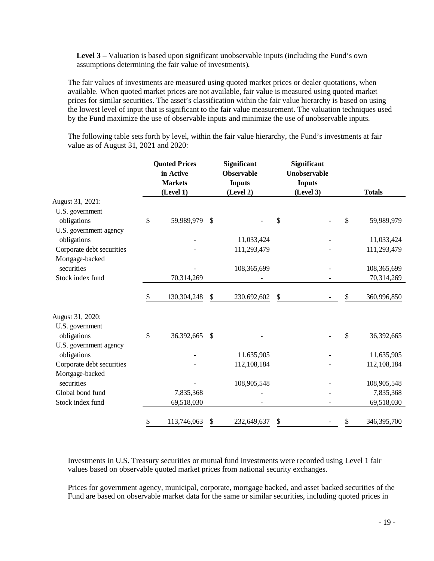**Level 3** – Valuation is based upon significant unobservable inputs (including the Fund's own assumptions determining the fair value of investments).

The fair values of investments are measured using quoted market prices or dealer quotations, when available. When quoted market prices are not available, fair value is measured using quoted market prices for similar securities. The asset's classification within the fair value hierarchy is based on using the lowest level of input that is significant to the fair value measurement. The valuation techniques used by the Fund maximize the use of observable inputs and minimize the use of unobservable inputs.

The following table sets forth by level, within the fair value hierarchy, the Fund's investments at fair value as of August 31, 2021 and 2020:

|                                       | <b>Quoted Prices</b><br>in Active<br><b>Markets</b><br>(Level 1) |               | <b>Significant</b><br><b>Significant</b><br><b>Observable</b><br><b>Unobservable</b><br><b>Inputs</b><br><b>Inputs</b><br>(Level 2)<br>(Level 3) |    | <b>Totals</b> |    |               |
|---------------------------------------|------------------------------------------------------------------|---------------|--------------------------------------------------------------------------------------------------------------------------------------------------|----|---------------|----|---------------|
| August 31, 2021:                      |                                                                  |               |                                                                                                                                                  |    |               |    |               |
| U.S. government                       |                                                                  |               |                                                                                                                                                  |    |               |    |               |
| obligations                           | \$<br>59,989,979                                                 | $\mathcal{S}$ |                                                                                                                                                  | \$ |               | \$ | 59,989,979    |
| U.S. government agency<br>obligations |                                                                  |               | 11,033,424                                                                                                                                       |    |               |    | 11,033,424    |
| Corporate debt securities             |                                                                  |               | 111,293,479                                                                                                                                      |    |               |    | 111,293,479   |
| Mortgage-backed                       |                                                                  |               |                                                                                                                                                  |    |               |    |               |
| securities                            |                                                                  |               | 108,365,699                                                                                                                                      |    |               |    | 108,365,699   |
| Stock index fund                      | 70,314,269                                                       |               |                                                                                                                                                  |    |               |    | 70,314,269    |
|                                       | \$<br>130,304,248                                                | \$            | 230,692,602                                                                                                                                      | \$ |               | \$ | 360,996,850   |
| August 31, 2020:                      |                                                                  |               |                                                                                                                                                  |    |               |    |               |
| U.S. government                       |                                                                  |               |                                                                                                                                                  |    |               |    |               |
| obligations                           | \$<br>36,392,665                                                 | $\mathcal{S}$ |                                                                                                                                                  |    |               | \$ | 36,392,665    |
| U.S. government agency                |                                                                  |               |                                                                                                                                                  |    |               |    |               |
| obligations                           |                                                                  |               | 11,635,905                                                                                                                                       |    |               |    | 11,635,905    |
| Corporate debt securities             |                                                                  |               | 112,108,184                                                                                                                                      |    |               |    | 112,108,184   |
| Mortgage-backed                       |                                                                  |               |                                                                                                                                                  |    |               |    |               |
| securities                            |                                                                  |               | 108,905,548                                                                                                                                      |    |               |    | 108,905,548   |
| Global bond fund                      | 7,835,368                                                        |               |                                                                                                                                                  |    |               |    | 7,835,368     |
| Stock index fund                      | 69,518,030                                                       |               |                                                                                                                                                  |    |               |    | 69,518,030    |
|                                       | \$<br>113,746,063                                                | \$            | 232,649,637                                                                                                                                      | \$ |               | \$ | 346, 395, 700 |

Investments in U.S. Treasury securities or mutual fund investments were recorded using Level 1 fair values based on observable quoted market prices from national security exchanges.

Prices for government agency, municipal, corporate, mortgage backed, and asset backed securities of the Fund are based on observable market data for the same or similar securities, including quoted prices in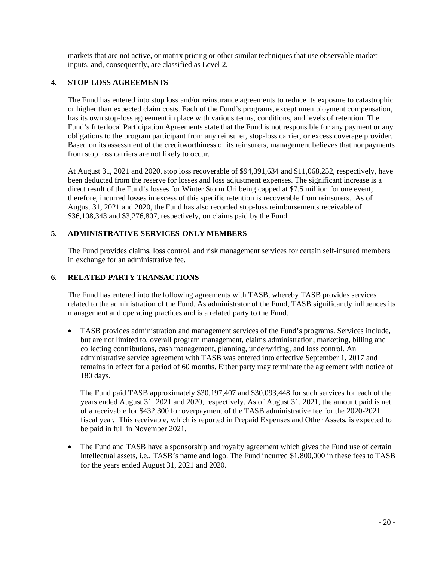markets that are not active, or matrix pricing or other similar techniques that use observable market inputs, and, consequently, are classified as Level 2.

# **4. STOP-LOSS AGREEMENTS**

The Fund has entered into stop loss and/or reinsurance agreements to reduce its exposure to catastrophic or higher than expected claim costs. Each of the Fund's programs, except unemployment compensation, has its own stop-loss agreement in place with various terms, conditions, and levels of retention. The Fund's Interlocal Participation Agreements state that the Fund is not responsible for any payment or any obligations to the program participant from any reinsurer, stop-loss carrier, or excess coverage provider. Based on its assessment of the creditworthiness of its reinsurers, management believes that nonpayments from stop loss carriers are not likely to occur.

At August 31, 2021 and 2020, stop loss recoverable of \$94,391,634 and \$11,068,252, respectively, have been deducted from the reserve for losses and loss adjustment expenses. The significant increase is a direct result of the Fund's losses for Winter Storm Uri being capped at \$7.5 million for one event; therefore, incurred losses in excess of this specific retention is recoverable from reinsurers. As of August 31, 2021 and 2020, the Fund has also recorded stop-loss reimbursements receivable of \$36,108,343 and \$3,276,807, respectively, on claims paid by the Fund.

# **5. ADMINISTRATIVE-SERVICES-ONLY MEMBERS**

The Fund provides claims, loss control, and risk management services for certain self-insured members in exchange for an administrative fee.

# **6. RELATED-PARTY TRANSACTIONS**

The Fund has entered into the following agreements with TASB, whereby TASB provides services related to the administration of the Fund. As administrator of the Fund, TASB significantly influences its management and operating practices and is a related party to the Fund.

· TASB provides administration and management services of the Fund's programs. Services include, but are not limited to, overall program management, claims administration, marketing, billing and collecting contributions, cash management, planning, underwriting, and loss control. An administrative service agreement with TASB was entered into effective September 1, 2017 and remains in effect for a period of 60 months. Either party may terminate the agreement with notice of 180 days.

The Fund paid TASB approximately \$30,197,407 and \$30,093,448 for such services for each of the years ended August 31, 2021 and 2020, respectively. As of August 31, 2021, the amount paid is net of a receivable for \$432,300 for overpayment of the TASB administrative fee for the 2020-2021 fiscal year. This receivable, which is reported in Prepaid Expenses and Other Assets, is expected to be paid in full in November 2021.

• The Fund and TASB have a sponsorship and royalty agreement which gives the Fund use of certain intellectual assets, i.e., TASB's name and logo. The Fund incurred \$1,800,000 in these fees to TASB for the years ended August 31, 2021 and 2020.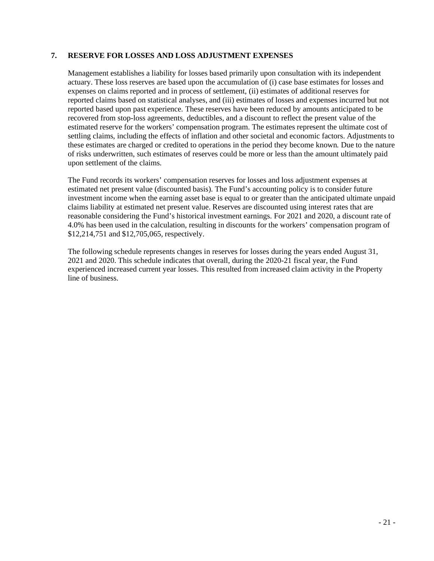## **7. RESERVE FOR LOSSES AND LOSS ADJUSTMENT EXPENSES**

Management establishes a liability for losses based primarily upon consultation with its independent actuary. These loss reserves are based upon the accumulation of (i) case base estimates for losses and expenses on claims reported and in process of settlement, (ii) estimates of additional reserves for reported claims based on statistical analyses, and (iii) estimates of losses and expenses incurred but not reported based upon past experience. These reserves have been reduced by amounts anticipated to be recovered from stop-loss agreements, deductibles, and a discount to reflect the present value of the estimated reserve for the workers' compensation program. The estimates represent the ultimate cost of settling claims, including the effects of inflation and other societal and economic factors. Adjustments to these estimates are charged or credited to operations in the period they become known. Due to the nature of risks underwritten, such estimates of reserves could be more or less than the amount ultimately paid upon settlement of the claims.

The Fund records its workers' compensation reserves for losses and loss adjustment expenses at estimated net present value (discounted basis). The Fund's accounting policy is to consider future investment income when the earning asset base is equal to or greater than the anticipated ultimate unpaid claims liability at estimated net present value. Reserves are discounted using interest rates that are reasonable considering the Fund's historical investment earnings. For 2021 and 2020, a discount rate of 4.0% has been used in the calculation, resulting in discounts for the workers' compensation program of \$12,214,751 and \$12,705,065, respectively.

The following schedule represents changes in reserves for losses during the years ended August 31, 2021 and 2020. This schedule indicates that overall, during the 2020-21 fiscal year, the Fund experienced increased current year losses. This resulted from increased claim activity in the Property line of business.